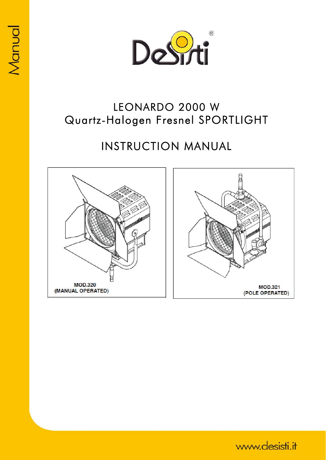

# LEONARDO 2000 W Quartz-Halogen Fresnel SPORTLIGHT

# INSTRUCTION MANUAL



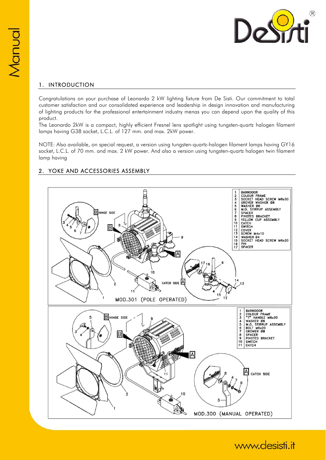

## 1. INTRODUCTION

Congratulations on your purchase of Leonardo 2 kW lighting fixture from De Sisti. Our commitment to total customer satisfaction and our consolidated experience and leadership in design innovation and manufacturing of lighting products for the professional entertainment industry menas you can depend upon the quality of this product.

The Leonardo 2kW is a compact, highly efficient Fresnel lens spotlight using tungsten-quartz halogen filament lamps having G38 socket, L.C.L. of 127 mm. and max. 2kW power.

NOTE: Also available, on special request, a version using tungsten-quartz-halogen filament lamps having GY16 socket, L.C.L. of 70 mm. and max. 2 kW power. And also a version using tungsten-quartz halogen twin filament lamp having

## **BARNDOOR**<br>
BOCKET HEAD SCREW M6x30<br>
GROVER WASHER 06<br>
GROVER WASHER 06<br>
MASHER 06<br>
M.O. STIRRUP ASSEMBLY<br>
SPACER<br>
PIVOTED BRACKET<br>
CLICH<br>
COVER<br>
COCKER<br>
SCREW M4x10<br>
WASHER 04<br>
NORSER M4x10<br>
WASHER 04<br>
NASHER PIN<br>
SCREW M  $\frac{2}{3}$  $4567$ HINGE SIDE  $\frac{8}{9}$ <br>10<br>11 IE  $12$ <br> $13$ <br> $14$ <br> $15$ <br> $17$ <br> $17$ CATCH SIDE A MOD.301 (POLE OPERATED) **BARNDOOR BARNDOOR**<br>COLOUR FRAME<br>"T" HANDLE M6x20<br>M.O. STIRRUP ASSEMBLY<br>BOLT M6x20<br>GROWER Ø8<br>SPACER<br>SWITCH BRACKET<br>RWITCH 23456789 B HINGE SIDE ΙBΙ  $\frac{10}{11}$ SWITCH A A CATCH SIDE MOD.300 (MANUAL OPERATED)

## 2. YOKE AND ACCESSORIES ASSEMBLY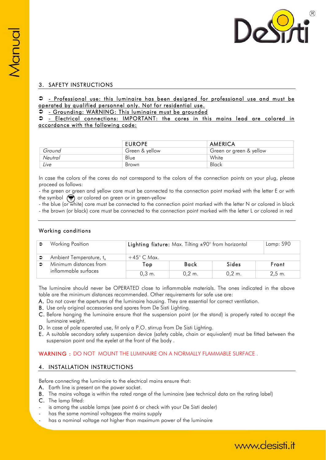

#### 3. SAFETY INSTRUCTIONS

#### $\supset$  - Professional use: this luminaire has been designed for professional use and must be operated by qualified personnel only. Not for residential use.

- Grounding: WARNING: This luminaire must be grounded

#### $\supset$  - Electrical connections: IMPORTANT: the cores in this mains lead are colored in accordance with the following code:

|         | <b>EUROPE</b>  | AMERICA                  |
|---------|----------------|--------------------------|
| Ground  | Green & yellow | 'Green or green & yellow |
| Neutral | Blue           | White                    |
| Live    | Brown          | Black                    |

In case the colors of the cores do not correspond to the colors of the connection points on your plug, please proceed as follows:

- the green or green and yellow core must be connected to the connection point marked with the letter E or with the symbol  $\left(\bigoplus\right)$  or colored on green or in green-yellow

- the blue (or white) core must be connected to the connection point marked with the letter N or colored in black - the brown (or black) core must be connected to the connection point marked with the letter L or colored in red

#### Working conditions

| <b>Working Position</b>                        | Lighting fixture: Max. Tilting $\pm$ 90° from horizontal | Lamp: S90           |                     |                     |  |
|------------------------------------------------|----------------------------------------------------------|---------------------|---------------------|---------------------|--|
| Ambient Temperature, t <sub>a</sub>            | $+45^{\circ}$ C Max.                                     |                     |                     |                     |  |
| Minimum distances from<br>inflammable surfaces | Top                                                      | <b>Back</b>         | Sides               | Front               |  |
|                                                | 0.3 m.                                                   | $0.2 \; \text{m}$ . | $0.2 \; \text{m}$ . | $2,5 \, \text{m}$ . |  |

The luminaire should never be OPERATED close to inflammable materials. The ones indicated in the above table are the minimum distances recommended. Other requirements for safe use are:

- A. Do not cover the apertures of the luminaire housing. They are essential for correct ventilation.
- B. Use only original accessories and spares from De Sisti Lighting.
- C. Before hanging the luminaire ensure that the suspension point (or the stand) is properly rated to accept the luminaire weight.
- D. In case of pole operated use, fit only a P.O. stirrup from De Sisti Lighting.
- E. A suitable secondary safety suspension device (safety cable, chain or equivalent) must be fitted between the suspension point and the eyelet at the front of the body .

#### WARNING : DO NOT MOUNT THE LUMINAIRE ON A NORMALLY FLAMMABLE SURFACE .

#### 4. INSTALLATION INSTRUCTIONS

Before connecting the luminaire to the electrical mains ensure that:

- A. Earth line is present on the power socket.
- B. The mains voltage is within the rated range of the luminaire (see technical data on the rating label)
- C. The lamp fitted:
- is among the usable lamps (see point 6 or check with your De Sisti dealer)
- has the same nominal voltageas the mains supply
- has a nominal voltage not higher than maximum power of the luminaire

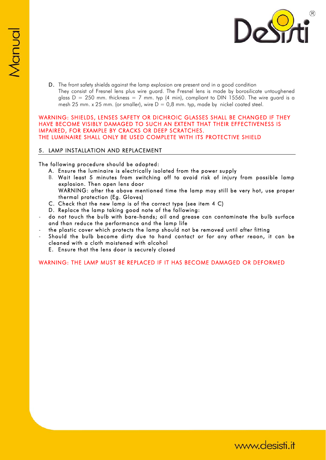- Manual
	- D. The front safety shields against the lamp explosion are present and in a good condition They consist of Fresnel lens plus wire guard. The Fresnel lens is made by borosilicate untoughened glass  $D = 250$  mm, thickness = 7 mm, typ (4 min), compliant to DIN 15560. The wire guard is a mesh 25 mm. x 25 mm. (or smaller), wire  $D = 0.8$  mm. typ, made by nickel coated steel.

#### WARNING: SHIELDS, LENSES SAFETY OR DICHROIC GLASSES SHALL BE CHANGED IF THEY HAVE BECOME VISIBLY DAMAGED TO SUCH AN EXTENT THAT THEIR EFFECTIVENESS IS IMPAIRED, FOR EXAMPLE BY CRACKS OR DEEP SCRATCHES. THE LUMINAIRE SHALL ONLY BE USED COMPLETE WITH ITS PROTECTIVE SHIELD

### 5. LAMP INSTALLATION AND REPLACEMENT

The following procedure should be adopted:

- A. Ensure the luminaire is electrically isolated from the power supply
- B. Wait least 5 minutes from switching off to avoid risk of injury from possible lamp explosion. Then open lens door WARNING: after the above mentioned time the lamp may still be very hot, use proper thermal protection (Eg. Gloves)
- C. Check that the new lamp is of the correct type (see item 4 C)
- D. Replace the lamp taking good note of the following:
- do not touch the bulb with bare-hands; oil and grease can contaminate the bulb surface and than reduce the performance and the lamp life
- the plastic cover which protects the lamp should not be removed until after fitting
- Should the bulb become dirty due to hand contact or for any other reaon, it can be cleaned with a cloth moistened with alcohol
	- E. Ensure that the lens door is securely closed

WARNING: THE LAMP MUST BE REPLACED IF IT HAS BECOME DAMAGED OR DEFORMED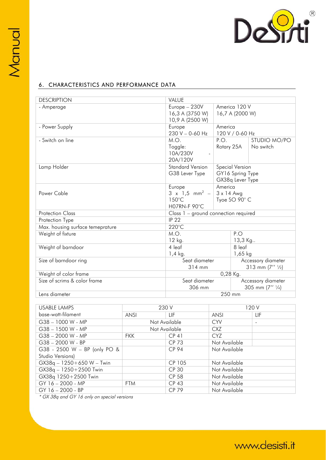## 6. CHARACTERISTICS AND PERFORMANCE DATA

Manual

| <b>DESCRIPTION</b>               | <b>VALUE</b>                         |                   |                    |              |
|----------------------------------|--------------------------------------|-------------------|--------------------|--------------|
| - Amperage                       | Europe - 230V                        | America 120 V     |                    |              |
|                                  | 16,3 A (3750 W)                      | 16,7 A (2000 W)   |                    |              |
|                                  | 10,9 A (2500 W)                      |                   |                    |              |
| - Power Supply                   | Europe                               | America           |                    |              |
|                                  | 230 V - 0-60 Hz                      | 120 V / 0-60 Hz   |                    |              |
| - Switch on line                 | M.O.                                 | P.O.              |                    | STUDIO MO/PO |
|                                  | Toggle:                              | Rotary 25A        |                    | No switch    |
|                                  | 10A/230V                             |                   |                    |              |
|                                  | 20A/120V                             |                   |                    |              |
| Lamp Holder                      | <b>Standard Version</b>              | Special Version   |                    |              |
|                                  | G38 Lever Type                       | GY16 Spring Type  |                    |              |
|                                  |                                      | GX38q Lever Type  |                    |              |
|                                  | Europe                               | America           |                    |              |
| Power Cable                      | $3 \times 1,5 \text{ mm}^2$ –        | $3 \times 14$ Awg |                    |              |
|                                  | 150°C                                | Tyoe SO 90° C     |                    |              |
|                                  | HO7RN-F 90°C                         |                   |                    |              |
| <b>Protection Class</b>          | Class 1 - ground connection required |                   |                    |              |
| Protection Type                  | <b>IP 22</b>                         |                   |                    |              |
| Max. housing surface temeprature | 220°C                                |                   |                    |              |
| Weight of fixture                | P.O<br>M.O.                          |                   |                    |              |
|                                  | $12$ kg.                             |                   | 13,3 Kg            |              |
| Weight of barndoor               | 4 leaf                               |                   | 8 leaf             |              |
| $1,4$ kg.                        |                                      |                   | 1,65 kg            |              |
| Size of barndoor ring            | Seat diameter                        |                   | Accessory diameter |              |
|                                  | 314 mm                               |                   | 313 mm $(7'' '2)$  |              |
| Weight of color frame            |                                      | 0,28 Kg.          |                    |              |
| Size of scrims & color frame     | Seat diameter<br>Accessory diameter  |                   |                    |              |
|                                  | 306 mm<br>305 mm $(7'' '4)$          |                   |                    |              |
| Lens diameter                    | 250 mm                               |                   |                    |              |

| USABLE LAMPS                    | 230 V         |                  | 120 V         |                          |
|---------------------------------|---------------|------------------|---------------|--------------------------|
|                                 |               |                  |               |                          |
| base-watt-filament              | <b>ANSI</b>   | LIF              | <b>ANSI</b>   | LIF                      |
| G38 - 1000 W - MP               | Not Available |                  | <b>CYV</b>    | $\overline{\phantom{a}}$ |
| $G38 - 1500 W - MP$             | Not Available |                  | CXZ           |                          |
| $G38 - 2000 W - MP$             | <b>FKK</b>    | CP <sub>41</sub> | CYZ           |                          |
| $G38 - 2000 W - BP$             |               | CP 73            | Not Available |                          |
| G38 - 2500 W - BP (only PO $\&$ |               | CP 94            | Not Available |                          |
| Studio Versions)                |               |                  |               |                          |
| $GX38q - 1250 + 650 W - Twin$   |               | CP 105           | Not Available |                          |
| $GX38q - 1250 + 2500$ Twin      |               | CP 30            | Not Available |                          |
| GX38q 1250+2500 Twin            |               | CP 58            | Not Available |                          |
| GY 16 - 2000 - MP               | <b>FTM</b>    | CP 43            | Not Available |                          |
| $GY 16 - 2000 - BP$             |               | CP 79            | Not Available |                          |

\* GX 38q and GY 16 only on special versions